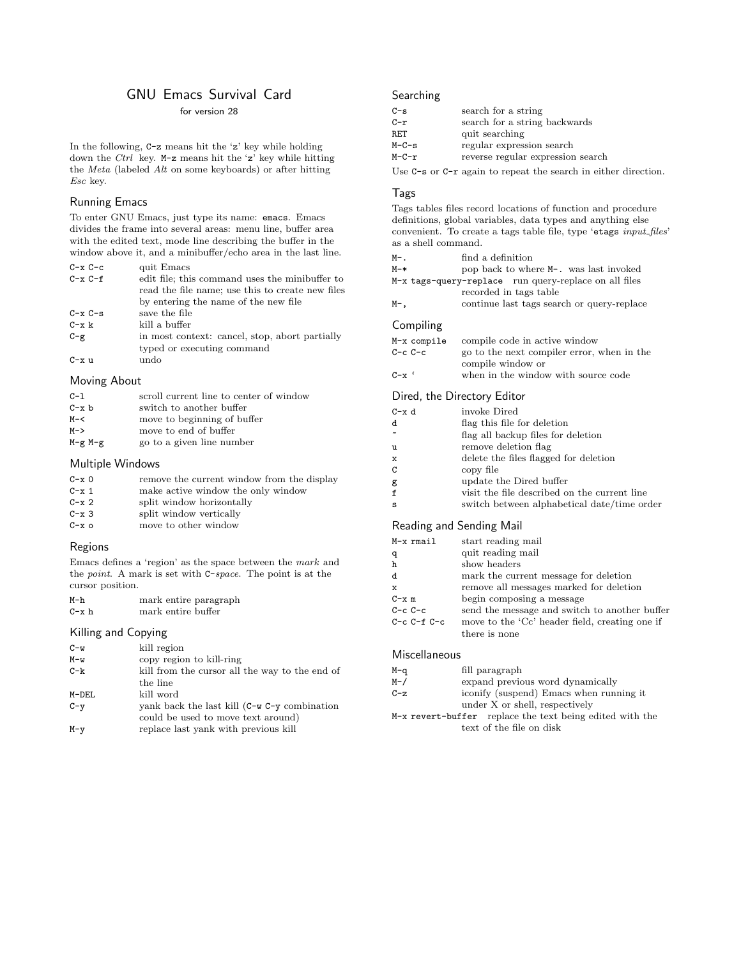# GNU Emacs Survival Card

# for version 28

In the following, C-z means hit the 'z' key while holding down the Ctrl key. M-z means hit the 'z' key while hitting the Meta (labeled Alt on some keyboards) or after hitting Esc key.

### Running Emacs

To enter GNU Emacs, just type its name: emacs. Emacs divides the frame into several areas: menu line, buffer area with the edited text, mode line describing the buffer in the window above it, and a minibuffer/echo area in the last line.

| $C - x C - c$ | quit Emacs                                       |
|---------------|--------------------------------------------------|
| $C - x C - f$ | edit file; this command uses the minibuffer to   |
|               | read the file name; use this to create new files |
|               | by entering the name of the new file             |
| $C - x C - s$ | save the file                                    |
| $C - x k$     | kill a buffer                                    |
| $C-g$         | in most context: cancel, stop, abort partially   |
|               | typed or executing command                       |
| C-x u         | undo                                             |
|               |                                                  |

# Moving About

| $C-1$       | scroll current line to center of window |
|-------------|-----------------------------------------|
| $C - x b$   | switch to another buffer                |
| $M - <$     | move to beginning of buffer             |
| M->         | move to end of buffer                   |
| $M-g$ $M-g$ | go to a given line number               |

#### Multiple Windows

| $C - x_0$     | remove the current window from the display |
|---------------|--------------------------------------------|
| $C - x$ 1     | make active window the only window         |
| $C - x$ 2     | split window horizontally                  |
| $C - x$ 3     | split window vertically                    |
| $C - x \circ$ | move to other window                       |

#### Regions

Emacs defines a 'region' as the space between the mark and the point. A mark is set with C-space. The point is at the cursor position.

| M-h       |  | mark entire paragraph |
|-----------|--|-----------------------|
| $C - x h$ |  | mark entire buffer    |

# Killing and Copying

| $C-w$   | kill region                                     |
|---------|-------------------------------------------------|
| $M-w$   | copy region to kill-ring                        |
| $C-k$   | kill from the cursor all the way to the end of  |
|         | the line                                        |
| $M-DEL$ | kill word                                       |
| $C-y$   | yank back the last kill $(C-w C-y)$ combination |
|         | could be used to move text around)              |
| $M-y$   | replace last yank with previous kill            |

# **Searching**

| search for a string               |
|-----------------------------------|
| search for a string backwards     |
| quit searching                    |
| regular expression search         |
| reverse regular expression search |
|                                   |

Use C-s or C-r again to repeat the search in either direction.

# Tags

Tags tables files record locations of function and procedure definitions, global variables, data types and anything else convenient. To create a tags table file, type 'etags  $input_{\text{}}$ files' as a shell command.

| м- | find a definition |  |
|----|-------------------|--|
|    |                   |  |

- M-\* pop back to where M-. was last invoked
- M-x tags-query-replace run query-replace on all files recorded in tags table
- M-, continue last tags search or query-replace

# Compiling

| M-x compile | compile code in active window              |
|-------------|--------------------------------------------|
| C-c C-c     | go to the next compiler error, when in the |
|             | compile window or                          |
| C-xʻ        | when in the window with source code        |

#### Dired, the Directory Editor

| $C - x d$   | invoke Dired                                 |
|-------------|----------------------------------------------|
| d           | flag this file for deletion                  |
|             | flag all backup files for deletion           |
| u           | remove deletion flag                         |
| $\mathbf x$ | delete the files flagged for deletion        |
| C           | copy file                                    |
| g           | update the Dired buffer                      |
| f           | visit the file described on the current line |
| s           | switch between alphabetical date/time order  |
|             |                                              |

### Reading and Sending Mail

| $M-x$ $rmail$     | start reading mail                             |
|-------------------|------------------------------------------------|
| q                 | quit reading mail                              |
| h                 | show headers                                   |
| d                 | mark the current message for deletion          |
| $\mathbf x$       | remove all messages marked for deletion        |
| $C - x$ m         | begin composing a message                      |
| $C-c$ $C-c$       | send the message and switch to another buffer  |
| $C-c$ $C-f$ $C-c$ | move to the 'Cc' header field, creating one if |
|                   | there is none                                  |
|                   |                                                |

#### Miscellaneous

| M-q     | fill paragraph                                           |
|---------|----------------------------------------------------------|
| $M - /$ | expand previous word dynamically                         |
| $C-z$   | iconify (suspend) Emacs when running it                  |
|         | under X or shell, respectively                           |
|         | M-x revert-buffer replace the text being edited with the |
|         | text of the file on disk                                 |